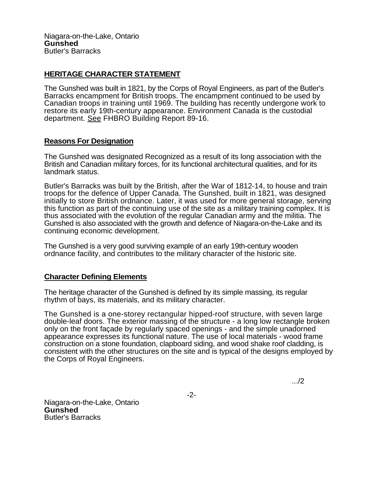## **HERITAGE CHARACTER STATEMENT**

The Gunshed was built in 1821, by the Corps of Royal Engineers, as part of the Butler's Barracks encampment for British troops. The encampment continued to be used by Canadian troops in training until 1969. The building has recently undergone work to restore its early 19th-century appearance. Environment Canada is the custodial department. See FHBRO Building Report 89-16.

## **Reasons For Designation**

The Gunshed was designated Recognized as a result of its long association with the British and Canadian military forces, for its functional architectural qualities, and for its landmark status.

Butler's Barracks was built by the British, after the War of 1812-14, to house and train troops for the defence of Upper Canada. The Gunshed, built in 1821, was designed initially to store British ordnance. Later, it was used for more general storage, serving this function as part of the continuing use of the site as a military training complex. It is thus associated with the evolution of the regular Canadian army and the militia. The Gunshed is also associated with the growth and defence of Niagara-on-the-Lake and its continuing economic development.

The Gunshed is a very good surviving example of an early 19th-century wooden ordnance facility, and contributes to the military character of the historic site.

## **Character Defining Elements**

The heritage character of the Gunshed is defined by its simple massing, its regular rhythm of bays, its materials, and its military character.

The Gunshed is a one-storey rectangular hipped-roof structure, with seven large double-leaf doors. The exterior massing of the structure - a long low rectangle broken only on the front façade by regularly spaced openings - and the simple unadorned appearance expresses its functional nature. The use of local materials - wood frame construction on a stone foundation, clapboard siding, and wood shake roof cladding, is consistent with the other structures on the site and is typical of the designs employed by the Corps of Royal Engineers.

.../2

-2-

Niagara-on-the-Lake, Ontario **Gunshed**  Butler's Barracks